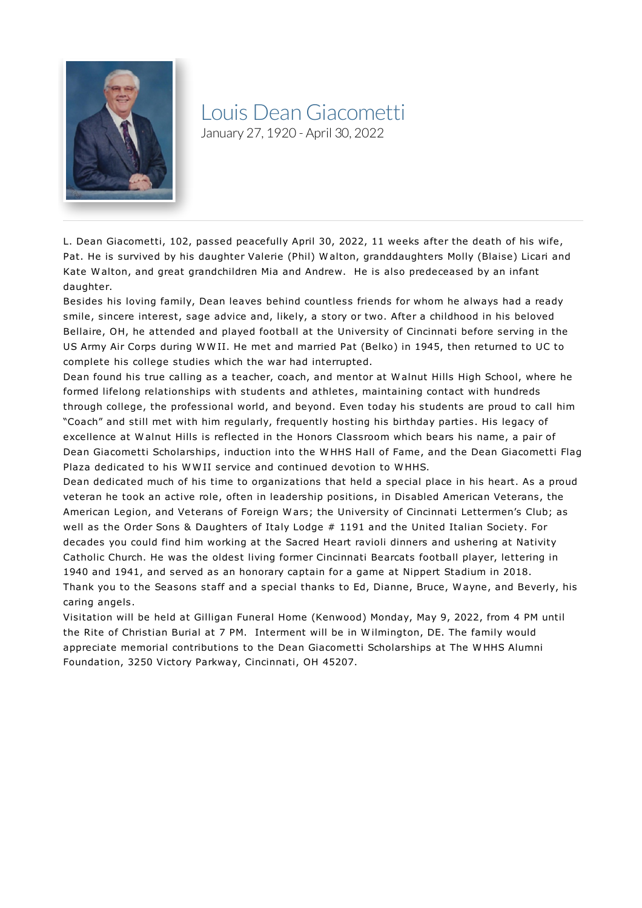

## Louis DeanGiacometti

January 27, 1920 - April 30, 2022

L. Dean Giacometti, 102, passed peacefully April 30, 2022, 11 weeks after the death of his wife, Pat. He is survived by his daughter Valerie (Phil) W alton, granddaughters Molly (Blaise) Licari and Kate W alton, and great grandchildren Mia and Andrew. He is also predeceased by an infant daughter.

Besides his loving family, Dean leaves behind countless friends for whom he always had a ready smile, sincere interest, sage advice and, likely, a story or two. After a childhood in his beloved Bellaire, OH, he attended and played football at the University of Cincinnati before serving in the US Army Air Corps during W W II. He met and married Pat (Belko) in 1945, then returned to UC to complete his college studies which the war had interrupted.

Dean found his true calling as a teacher, coach, and mentor at W alnut Hills High School, where he formed lifelong relationships with students and athletes, maintaining contact with hundreds through college, the professional world, and beyond. Even today his students are proud to call him "Coach" and still met with him regularly, frequently hosting his birthday parties. His legacy of excellence at W alnut Hills is reflected in the Honors Classroom which bears his name, a pair of Dean Giacometti Scholarships, induction into the W HHS Hall of Fame, and the Dean Giacometti Flag Plaza dedicated to his W W II service and continued devotion to W HHS.

Dean dedicated much of his time to organizations that held a special place in his heart. As a proud veteran he took an active role, often in leadership positions, in Disabled American Veterans, the American Legion, and Veterans of Foreign W ars; the University of Cincinnati Lettermen's Club; as well as the Order Sons & Daughters of Italy Lodge # 1191 and the United Italian Society. For decades you could find him working at the Sacred Heart ravioli dinners and ushering at Nativity Catholic Church. He was the oldest living former Cincinnati Bearcats football player, lettering in 1940 and 1941, and served as an honorary captain for a game at Nippert Stadium in 2018. Thank you to the Seasons staff and a special thanks to Ed, Dianne, Bruce, W ayne, and Beverly, his caring angels.

Visitation will be held at Gilligan Funeral Home (Kenwood) Monday, May 9, 2022, from 4 PM until the Rite of Christian Burial at 7 PM. Interment will be in W ilmington, DE. The family would appreciate memorial contributions to the Dean Giacometti Scholarships at The W HHS Alumni Foundation, 3250 Victory Parkway, Cincinnati, OH 45207.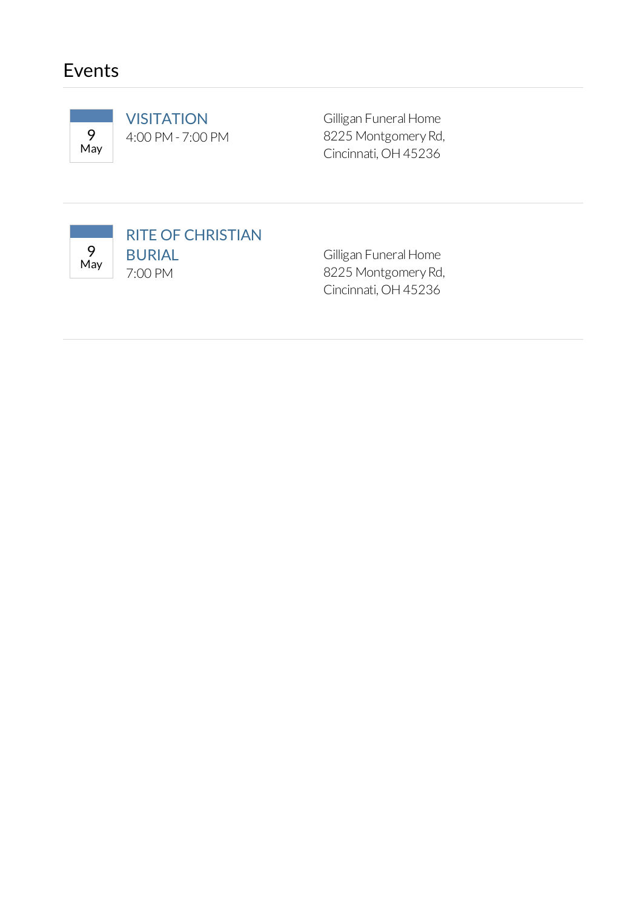## Events



**VISITATION** 9 4:00 PM- 7:00 PM Gilligan Funeral Home 8225 Montgomery Rd, Cincinnati,OH45236



Gilligan Funeral Home 8225 Montgomery Rd, Cincinnati,OH45236